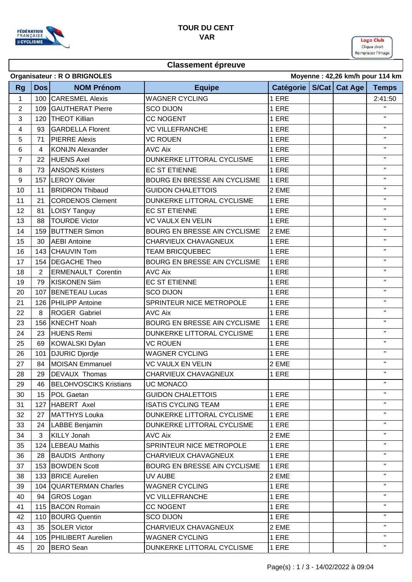

## **TOUR DU CENT VAR**

Logo Club Clique droit Remplacer l'image

### **Classement épreuve**

| Moyenne: 42,26 km/h pour 114 km<br>Organisateur: R O BRIGNOLES |                |                               |                                     |           |  |                 |                |  |
|----------------------------------------------------------------|----------------|-------------------------------|-------------------------------------|-----------|--|-----------------|----------------|--|
| <b>Rg</b>                                                      | Dos            | <b>NOM Prénom</b>             | <b>Equipe</b>                       | Catégorie |  | S/Cat   Cat Age | <b>Temps</b>   |  |
| $\mathbf{1}$                                                   |                | 100 CARESMEL Alexis           | <b>WAGNER CYCLING</b>               | 1 ERE     |  |                 | 2:41:50        |  |
| 2                                                              |                | 109 GAUTHERAT Pierre          | <b>SCO DIJON</b>                    | 1 ERE     |  |                 | $\mathbf{H}$   |  |
| 3                                                              |                | 120   THEOT Killian           | <b>CC NOGENT</b>                    | 1 ERE     |  |                 | $\mathbf{H}$   |  |
| 4                                                              | 93             | <b>GARDELLA Florent</b>       | <b>VC VILLEFRANCHE</b>              | 1 ERE     |  |                 | $\mathbf{H}$   |  |
| 5                                                              | 71             | <b>PIERRE Alexis</b>          | <b>VC ROUEN</b>                     | 1 ERE     |  |                 | $\mathbf H$    |  |
| 6                                                              | $\overline{4}$ | <b>KONIJN Alexander</b>       | <b>AVC Aix</b>                      | 1 ERE     |  |                 | $\mathbf{H}$   |  |
| $\overline{7}$                                                 | 22             | <b>HUENS Axel</b>             | DUNKERKE LITTORAL CYCLISME          | 1 ERE     |  |                 | $\mathbf H$    |  |
| 8                                                              | 73             | <b>ANSONS Kristers</b>        | <b>EC ST ETIENNE</b>                | 1 ERE     |  |                 | $\mathbf{H}$   |  |
| 9                                                              | 157            | <b>LEROY Olivier</b>          | BOURG EN BRESSE AIN CYCLISME        | 1 ERE     |  |                 | $\mathbf H$    |  |
| 10                                                             | 11             | <b>BRIDRON Thibaud</b>        | <b>GUIDON CHALETTOIS</b>            | 2 EME     |  |                 | $\mathbf H$    |  |
| 11                                                             | 21             | <b>CORDENOS Clement</b>       | DUNKERKE LITTORAL CYCLISME          | 1 ERE     |  |                 | $\mathbf H$    |  |
| 12                                                             | 81             | <b>LOISY Tanguy</b>           | <b>EC ST ETIENNE</b>                | 1 ERE     |  |                 | $\mathbf H$    |  |
| 13                                                             | 88             | <b>TOURDE Victor</b>          | <b>VC VAULX EN VELIN</b>            | 1 ERE     |  |                 | $\mathbf{H}$   |  |
| 14                                                             |                | 159 BUTTNER Simon             | <b>BOURG EN BRESSE AIN CYCLISME</b> | 2 EME     |  |                 | $\mathbf{H}$   |  |
| 15                                                             | 30             | <b>AEBI</b> Antoine           | CHARVIEUX CHAVAGNEUX                | 1 ERE     |  |                 | $\mathbf H$    |  |
| 16                                                             |                | 143 CHAUVIN Tom               | <b>TEAM BRICQUEBEC</b>              | 1 ERE     |  |                 | $\mathbf{H}$   |  |
| 17                                                             |                | 154   DEGACHE Theo            | BOURG EN BRESSE AIN CYCLISME        | 1 ERE     |  |                 | $\mathbf{H}$   |  |
| 18                                                             | $\overline{2}$ | <b>ERMENAULT Corentin</b>     | <b>AVC Aix</b>                      | 1 ERE     |  |                 | $\mathbf H$    |  |
| 19                                                             | 79             | <b>KISKONEN Siim</b>          | <b>EC ST ETIENNE</b>                | 1 ERE     |  |                 | $\mathbf H$    |  |
| 20                                                             | 107            | <b>BENETEAU Lucas</b>         | <b>SCO DIJON</b>                    | 1 ERE     |  |                 | $\mathbf{H}$   |  |
| 21                                                             |                | 126 PHILIPP Antoine           | SPRINTEUR NICE METROPOLE            | 1 ERE     |  |                 | $\mathbf{H}$   |  |
| 22                                                             | 8              | ROGER Gabriel                 | <b>AVC Aix</b>                      | 1 ERE     |  |                 | $\mathbf H$    |  |
| 23                                                             |                | 156 KNECHT Noah               | BOURG EN BRESSE AIN CYCLISME        | 1 ERE     |  |                 | $\mathbf H$    |  |
| 24                                                             | 23             | <b>HUENS Remi</b>             | DUNKERKE LITTORAL CYCLISME          | 1 ERE     |  |                 | $\mathbf H$    |  |
| 25                                                             | 69             | <b>KOWALSKI Dylan</b>         | <b>VC ROUEN</b>                     | 1 ERE     |  |                 | $\mathbf H$    |  |
| 26                                                             | 101            | <b>DJURIC Djordje</b>         | <b>WAGNER CYCLING</b>               | 1 ERE     |  |                 | $\mathbf{H}$   |  |
| 27                                                             | 84             | <b>MOISAN Emmanuel</b>        | <b>VC VAULX EN VELIN</b>            | 2 EME     |  |                 | $\mathbf{H}$   |  |
| 28                                                             | 29             | <b>DEVAUX Thomas</b>          | CHARVIEUX CHAVAGNEUX                | 1 ERE     |  |                 | $\mathbf H$    |  |
| 29                                                             | 46             | <b>BELOHVOSCIKS Kristians</b> | UC MONACO                           |           |  |                 |                |  |
| 30                                                             | 15             | <b>POL Gaetan</b>             | <b>GUIDON CHALETTOIS</b>            | 1 ERE     |  |                 | п.             |  |
| 31                                                             |                | 127 HABERT Axel               | <b>ISATIS CYCLING TEAM</b>          | 1 ERE     |  |                 | $\mathbf{H}$   |  |
| 32                                                             | 27             | <b>MATTHYS Louka</b>          | DUNKERKE LITTORAL CYCLISME          | 1 ERE     |  |                 | п.             |  |
| 33                                                             | 24             | LABBE Benjamin                | DUNKERKE LITTORAL CYCLISME          | 1 ERE     |  |                 | $\mathbf{H}$ . |  |
| 34                                                             | 3              | <b>KILLY Jonah</b>            | <b>AVC Aix</b>                      | 2 EME     |  |                 | $\mathbf{H}$   |  |
| 35                                                             |                | 124   LEBEAU Mathis           | SPRINTEUR NICE METROPOLE            | 1 ERE     |  |                 | $\mathbf{H}$   |  |
| 36                                                             | 28             | <b>BAUDIS Anthony</b>         | CHARVIEUX CHAVAGNEUX                | 1 ERE     |  |                 | п.             |  |
| 37                                                             |                | 153 BOWDEN Scott              | <b>BOURG EN BRESSE AIN CYCLISME</b> | 1 ERE     |  |                 | $\mathbf H$    |  |
| 38                                                             |                | 133 BRICE Aurelien            | UV AUBE                             | 2 EME     |  |                 | $\mathbf{H}$ . |  |
| 39                                                             |                | 104   QUARTERMAN Charles      | <b>WAGNER CYCLING</b>               | 1 ERE     |  |                 | $\mathbf{H}$   |  |
| 40                                                             | 94             | <b>GROS Logan</b>             | <b>VC VILLEFRANCHE</b>              | 1 ERE     |  |                 | $\mathbf{H}$ . |  |
| 41                                                             |                | 115 BACON Romain              | <b>CC NOGENT</b>                    | 1 ERE     |  |                 | $\mathbf{H}$ . |  |
| 42                                                             |                | 110 BOURG Quentin             | <b>SCO DIJON</b>                    | 1 ERE     |  |                 | $\mathbf{H}$   |  |
| 43                                                             | 35             | <b>SOLER Victor</b>           | CHARVIEUX CHAVAGNEUX                | 2 EME     |  |                 | п.             |  |
| 44                                                             |                | 105   PHILIBERT Aurelien      | <b>WAGNER CYCLING</b>               | 1 ERE     |  |                 | п.             |  |
| 45                                                             | 20             | <b>BERO</b> Sean              | DUNKERKE LITTORAL CYCLISME          | 1 ERE     |  |                 | $\mathbf{H}$   |  |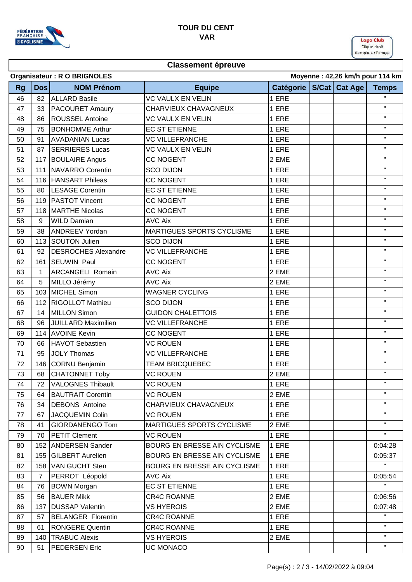

### **TOUR DU CENT VAR**

Logo Club Clique droit Remplacer l'image

# **Classement épreuve**

| Moyenne: 42,26 km/h pour 114 km<br><b>Organisateur: R O BRIGNOLES</b> |              |                            |                                     |           |  |               |                |  |
|-----------------------------------------------------------------------|--------------|----------------------------|-------------------------------------|-----------|--|---------------|----------------|--|
| <b>Rg</b>                                                             | <b>Dos</b>   | <b>NOM Prénom</b>          | <b>Equipe</b>                       | Catégorie |  | S/Cat Cat Age | <b>Temps</b>   |  |
| 46                                                                    | 82           | <b>ALLARD Basile</b>       | <b>VC VAULX EN VELIN</b>            | 1 ERE     |  |               | $\mathbf{H}$   |  |
| 47                                                                    | 33           | <b>PACOURET Amaury</b>     | CHARVIEUX CHAVAGNEUX                | 1 ERE     |  |               | $\mathbf{H}$   |  |
| 48                                                                    | 86           | <b>ROUSSEL Antoine</b>     | <b>VC VAULX EN VELIN</b>            | 1 ERE     |  |               | $\mathbf{H}$   |  |
| 49                                                                    | 75           | <b>BONHOMME Arthur</b>     | <b>EC ST ETIENNE</b>                | 1 ERE     |  |               | $\mathbf{H}$   |  |
| 50                                                                    | 91           | <b>AVADANIAN Lucas</b>     | <b>VC VILLEFRANCHE</b>              | 1 ERE     |  |               | $\mathbf{H}$   |  |
| 51                                                                    | 87           | <b>SERRIERES Lucas</b>     | <b>VC VAULX EN VELIN</b>            | 1 ERE     |  |               | $\mathbf H$    |  |
| 52                                                                    | 117          | <b>BOULAIRE Angus</b>      | <b>CC NOGENT</b>                    | 2 EME     |  |               | $\mathbf H$    |  |
| 53                                                                    | 111          | NAVARRO Corentin           | <b>SCO DIJON</b>                    | 1 ERE     |  |               | $\mathbf H$    |  |
| 54                                                                    |              | 116 HANSART Phileas        | <b>CC NOGENT</b>                    | 1 ERE     |  |               | $\mathbf{H}$   |  |
| 55                                                                    | 80           | <b>LESAGE Corentin</b>     | <b>EC ST ETIENNE</b>                | 1 ERE     |  |               | $\mathbf{H}$   |  |
| 56                                                                    | 119          | <b>PASTOT Vincent</b>      | <b>CC NOGENT</b>                    | 1 ERE     |  |               | $\mathbf{H}$   |  |
| 57                                                                    |              | 118 MARTHE Nicolas         | <b>CC NOGENT</b>                    | 1 ERE     |  |               | $\mathbf H$    |  |
| 58                                                                    | 9            | <b>WILD Damian</b>         | <b>AVC Aix</b>                      | 1 ERE     |  |               | $\mathbf{H}$   |  |
| 59                                                                    | 38           | <b>ANDREEV Yordan</b>      | <b>MARTIGUES SPORTS CYCLISME</b>    | 1 ERE     |  |               | $\mathbf{H}$   |  |
| 60                                                                    |              | 113 SOUTON Julien          | <b>SCO DIJON</b>                    | 1 ERE     |  |               | $\mathbf{H}$   |  |
| 61                                                                    | 92           | <b>DESROCHES Alexandre</b> | <b>VC VILLEFRANCHE</b>              | 1 ERE     |  |               | $\mathbf H$    |  |
| 62                                                                    | 161          | <b>SEUWIN Paul</b>         | <b>CC NOGENT</b>                    | 1 ERE     |  |               | $\mathbf{H}$   |  |
| 63                                                                    | $\mathbf{1}$ | <b>ARCANGELI Romain</b>    | <b>AVC Aix</b>                      | 2 EME     |  |               | $\mathbf{H}$   |  |
| 64                                                                    | 5            | MILLO Jérémy               | <b>AVC Aix</b>                      | 2 EME     |  |               | $\mathbf H$    |  |
| 65                                                                    | 103          | MICHEL Simon               | <b>WAGNER CYCLING</b>               | 1 ERE     |  |               | $\mathbf{H}$   |  |
| 66                                                                    | 112          | <b>RIGOLLOT Mathieu</b>    | <b>SCO DIJON</b>                    | 1 ERE     |  |               | $\mathbf{H}$   |  |
| 67                                                                    | 14           | <b>MILLON Simon</b>        | <b>GUIDON CHALETTOIS</b>            | 1 ERE     |  |               | $\mathbf{H}$   |  |
| 68                                                                    | 96           | JUILLARD Maximilien        | <b>VC VILLEFRANCHE</b>              | 1 ERE     |  |               | $\mathbf{H}$   |  |
| 69                                                                    | 114          | <b>AVOINE Kevin</b>        | <b>CC NOGENT</b>                    | 1 ERE     |  |               | $\mathbf{H}$   |  |
| 70                                                                    | 66           | <b>HAVOT Sebastien</b>     | <b>VC ROUEN</b>                     | 1 ERE     |  |               | $\mathbf H$    |  |
| 71                                                                    | 95           | JOLY Thomas                | <b>VC VILLEFRANCHE</b>              | 1 ERE     |  |               | $\mathbf{H}$   |  |
| 72                                                                    | 146          | CORNU Benjamin             | <b>TEAM BRICQUEBEC</b>              | 1 ERE     |  |               | $\mathbf H$    |  |
| 73                                                                    | 68           | <b>CHATONNET Toby</b>      | <b>VC ROUEN</b>                     | 2 EME     |  |               | $\mathbf{H}$   |  |
| 74                                                                    | 72           | VALOGNES Thibault          | <b>VC ROUEN</b>                     | 1 ERE     |  |               |                |  |
| 75                                                                    | 64           | <b>BAUTRAIT Corentin</b>   | <b>VC ROUEN</b>                     | 2 EME     |  |               | $\mathbf{H}$ . |  |
| 76                                                                    | 34           | <b>DEBONS</b> Antoine      | CHARVIEUX CHAVAGNEUX                | 1 ERE     |  |               | п.             |  |
| 77                                                                    | 67           | JACQUEMIN Colin            | <b>VC ROUEN</b>                     | 1 ERE     |  |               | $\mathbf{H}$   |  |
| 78                                                                    | 41           | <b>GIORDANENGO Tom</b>     | MARTIGUES SPORTS CYCLISME           | 2 EME     |  |               | $\mathbf H$    |  |
| 79                                                                    | 70           | <b>PETIT Clement</b>       | <b>VC ROUEN</b>                     | 1 ERE     |  |               | $\mathbf{H}$   |  |
| 80                                                                    |              | 152 ANDERSEN Sander        | BOURG EN BRESSE AIN CYCLISME        | 1 ERE     |  |               | 0:04:28        |  |
| 81                                                                    |              | 155 GILBERT Aurelien       | <b>BOURG EN BRESSE AIN CYCLISME</b> | 1 ERE     |  |               | 0:05:37        |  |
| 82                                                                    |              | 158 VAN GUCHT Sten         | <b>BOURG EN BRESSE AIN CYCLISME</b> | 1 ERE     |  |               | $\mathbf H$    |  |
| 83                                                                    | 7            | PERROT Léopold             | <b>AVC Aix</b>                      | 1 ERE     |  |               | 0:05:54        |  |
| 84                                                                    | 76           | <b>BOWN Morgan</b>         | <b>EC ST ETIENNE</b>                | 1 ERE     |  |               | $\mathbf H$    |  |
| 85                                                                    | 56           | <b>BAUER Mikk</b>          | <b>CR4C ROANNE</b>                  | 2 EME     |  |               | 0:06:56        |  |
| 86                                                                    | 137          | <b>DUSSAP Valentin</b>     | <b>VS HYEROIS</b>                   | 2 EME     |  |               | 0:07:48        |  |
| 87                                                                    | 57           | <b>BELANGER Florentin</b>  | CR4C ROANNE                         | 1 ERE     |  |               | п.             |  |
| 88                                                                    | 61           | <b>RONGERE Quentin</b>     | CR4C ROANNE                         | 1 ERE     |  |               | $\mathbf H$    |  |
| 89                                                                    | 140          | <b>TRABUC Alexis</b>       | <b>VS HYEROIS</b>                   | 2 EME     |  |               | $\mathbf{H}$   |  |
| 90                                                                    | 51           | <b>PEDERSEN Eric</b>       | UC MONACO                           |           |  |               | $\mathbf H$    |  |